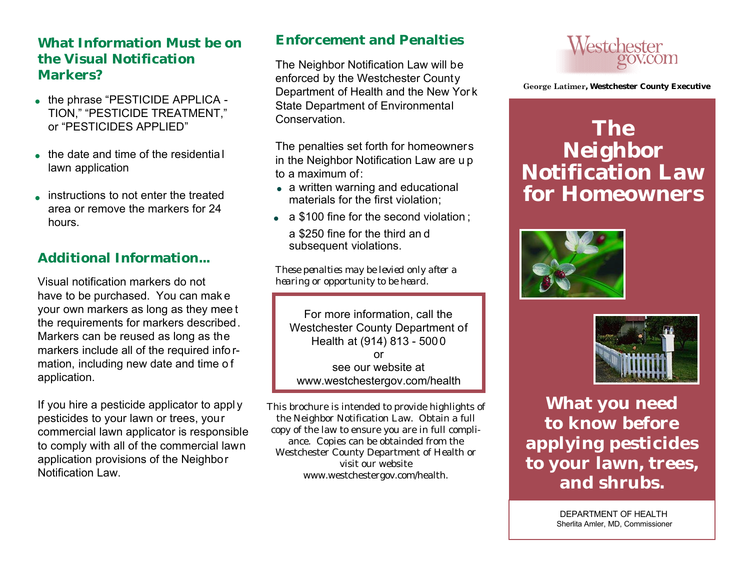#### **What Information Must be on the Visual Notification Markers?**

- the phrase "PESTICIDE APPLICA -TION," "PESTICIDE TREATMENT," or "PESTICIDES APPLIED"
- the date and time of the residential lawn application
- instructions to not enter the treated<br>• eres or remove the markers for 24 area or remove the markers for 24 hours.

### **Additional Information...**

Visual notification markers do not have to be purchased. You can mak e your own markers as long as they mee t the requirements for markers described. Markers can be reused as long as the markers include all of the required info rmation, including new date and time o f application.

If you hire a pesticide applicator to appl y pesticides to your lawn or trees, your commercial lawn applicator is responsible to comply with all of the commercial lawn application provisions of the Neighbor Notification Law.

#### **Enforcement and Penalties**

The Neighbor Notification Law will be enforced by the Westchester County Department of Health and the New Yor k State Department of Environmental **Conservation** 

The penalties set forth for homeowners in the Neighbor Notification Law are u p to a maximum of:

- a written warning and educational<br>materials for the first violation: materials for the first violation;
- a \$100 fine for the second violation; a \$250 fine for the third an d subsequent violations.

*These penalties may be levied only after a hearing or opportunity to be heard.*

For more information, call the Westchester County Department of Health at (914) 813 - 5000 or see our website at www.westchestergov.com/health

This brochure is intended to provide highlights of the Neighbor Notification Law. Obtain a full copy of the law to ensure you are in full compliance. Copies can be obtainded from the Westchester County Department of Health or visit our website www.westchestergov.com/health.



 **George Latimer, Westchester County Executive**

# **The Neighbor Notification Law for Homeowners**





**What you need to know before applying pesticides to your lawn, trees, and shrubs.**